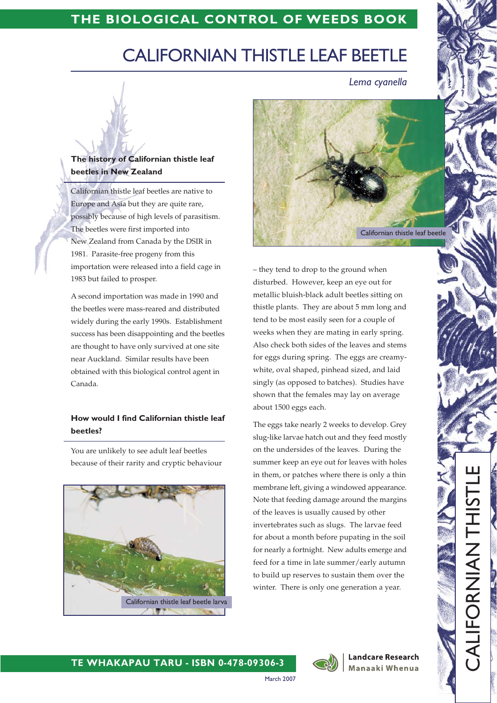## THE BIOLOGICAL CONTROL OF WEEDS BOOK

# **CALIFORNIAN THISTLE LEAF BEETLE**

Lema cyanella

### The history of Californian thistle leaf beetles in New Zealand

Californian thistle leaf beetles are native to Europe and Asia but they are quite rare, possibly because of high levels of parasitism. The beetles were first imported into New Zealand from Canada by the DSIR in 1981. Parasite-free progeny from this importation were released into a field cage in 1983 but failed to prosper.

A second importation was made in 1990 and the beetles were mass-reared and distributed widely during the early 1990s. Establishment success has been disappointing and the beetles are thought to have only survived at one site near Auckland. Similar results have been obtained with this biological control agent in Canada.

#### How would I find Californian thistle leaf beetles?

You are unlikely to see adult leaf beetles because of their rarity and cryptic behaviour





- they tend to drop to the ground when disturbed. However, keep an eye out for metallic bluish-black adult beetles sitting on thistle plants. They are about 5 mm long and tend to be most easily seen for a couple of weeks when they are mating in early spring. Also check both sides of the leaves and stems for eggs during spring. The eggs are creamywhite, oval shaped, pinhead sized, and laid singly (as opposed to batches). Studies have shown that the females may lay on average about 1500 eggs each.

The eggs take nearly 2 weeks to develop. Grey slug-like larvae hatch out and they feed mostly on the undersides of the leaves. During the summer keep an eye out for leaves with holes in them, or patches where there is only a thin membrane left, giving a windowed appearance. Note that feeding damage around the margins of the leaves is usually caused by other invertebrates such as slugs. The larvae feed for about a month before pupating in the soil for nearly a fortnight. New adults emerge and feed for a time in late summer/early autumn to build up reserves to sustain them over the winter. There is only one generation a year.



**March 2007** 

**Landcare Research Manaaki Whenua** 

**IHT NANIAOLITA**